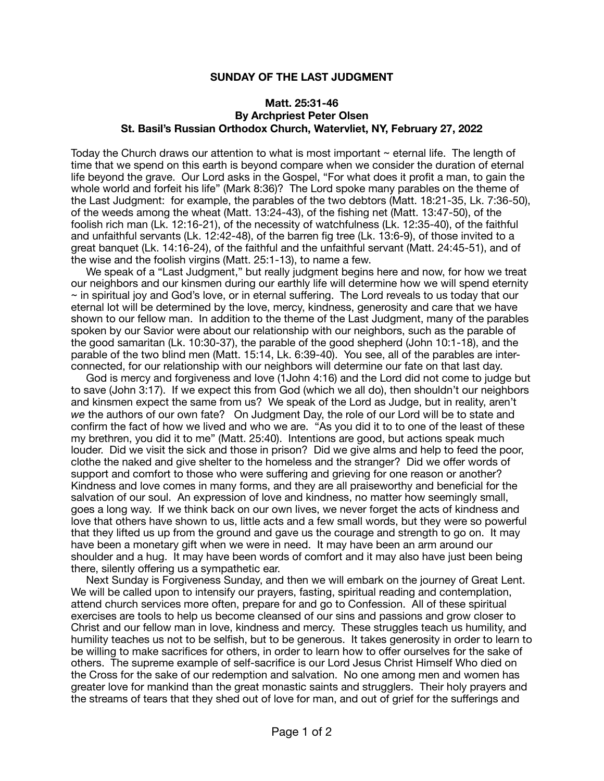## **SUNDAY OF THE LAST JUDGMENT**

## **Matt. 25:31-46 By Archpriest Peter Olsen St. Basil's Russian Orthodox Church, Watervliet, NY, February 27, 2022**

Today the Church draws our attention to what is most important  $\sim$  eternal life. The length of time that we spend on this earth is beyond compare when we consider the duration of eternal life beyond the grave. Our Lord asks in the Gospel, "For what does it profit a man, to gain the whole world and forfeit his life" (Mark 8:36)? The Lord spoke many parables on the theme of the Last Judgment: for example, the parables of the two debtors (Matt. 18:21-35, Lk. 7:36-50), of the weeds among the wheat (Matt. 13:24-43), of the fishing net (Matt. 13:47-50), of the foolish rich man (Lk. 12:16-21), of the necessity of watchfulness (Lk. 12:35-40), of the faithful and unfaithful servants (Lk. 12:42-48), of the barren fig tree (Lk. 13:6-9), of those invited to a great banquet (Lk. 14:16-24), of the faithful and the unfaithful servant (Matt. 24:45-51), and of the wise and the foolish virgins (Matt. 25:1-13), to name a few.

 We speak of a "Last Judgment," but really judgment begins here and now, for how we treat our neighbors and our kinsmen during our earthly life will determine how we will spend eternity  $\sim$  in spiritual joy and God's love, or in eternal suffering. The Lord reveals to us today that our eternal lot will be determined by the love, mercy, kindness, generosity and care that we have shown to our fellow man. In addition to the theme of the Last Judgment, many of the parables spoken by our Savior were about our relationship with our neighbors, such as the parable of the good samaritan (Lk. 10:30-37), the parable of the good shepherd (John 10:1-18), and the parable of the two blind men (Matt. 15:14, Lk. 6:39-40). You see, all of the parables are interconnected, for our relationship with our neighbors will determine our fate on that last day.

 God is mercy and forgiveness and love (1John 4:16) and the Lord did not come to judge but to save (John 3:17). If we expect this from God (which we all do), then shouldn't our neighbors and kinsmen expect the same from us? We speak of the Lord as Judge, but in reality, aren't *we* the authors of our own fate? On Judgment Day, the role of our Lord will be to state and confirm the fact of how we lived and who we are. "As you did it to to one of the least of these my brethren, you did it to me" (Matt. 25:40). Intentions are good, but actions speak much louder. Did we visit the sick and those in prison? Did we give alms and help to feed the poor, clothe the naked and give shelter to the homeless and the stranger? Did we offer words of support and comfort to those who were suffering and grieving for one reason or another? Kindness and love comes in many forms, and they are all praiseworthy and beneficial for the salvation of our soul. An expression of love and kindness, no matter how seemingly small, goes a long way. If we think back on our own lives, we never forget the acts of kindness and love that others have shown to us, little acts and a few small words, but they were so powerful that they lifted us up from the ground and gave us the courage and strength to go on. It may have been a monetary gift when we were in need. It may have been an arm around our shoulder and a hug. It may have been words of comfort and it may also have just been being there, silently offering us a sympathetic ear.

 Next Sunday is Forgiveness Sunday, and then we will embark on the journey of Great Lent. We will be called upon to intensify our prayers, fasting, spiritual reading and contemplation, attend church services more often, prepare for and go to Confession. All of these spiritual exercises are tools to help us become cleansed of our sins and passions and grow closer to Christ and our fellow man in love, kindness and mercy. These struggles teach us humility, and humility teaches us not to be selfish, but to be generous. It takes generosity in order to learn to be willing to make sacrifices for others, in order to learn how to offer ourselves for the sake of others. The supreme example of self-sacrifice is our Lord Jesus Christ Himself Who died on the Cross for the sake of our redemption and salvation. No one among men and women has greater love for mankind than the great monastic saints and strugglers. Their holy prayers and the streams of tears that they shed out of love for man, and out of grief for the sufferings and